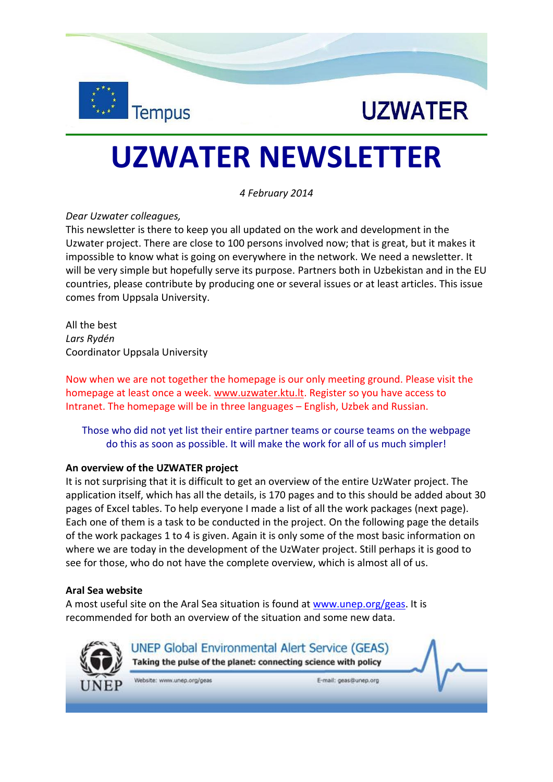



# **UZWATER NEWSLETTER**

*4 February 2014*

### *Dear Uzwater colleagues,*

This newsletter is there to keep you all updated on the work and development in the Uzwater project. There are close to 100 persons involved now; that is great, but it makes it impossible to know what is going on everywhere in the network. We need a newsletter. It will be very simple but hopefully serve its purpose. Partners both in Uzbekistan and in the EU countries, please contribute by producing one or several issues or at least articles. This issue comes from Uppsala University.

All the best *Lars Rydén* Coordinator Uppsala University

Now when we are not together the homepage is our only meeting ground. Please visit the homepage at least once a week. [www.uzwater.ktu.lt.](http://www.uzwater.ktu.lt/) Register so you have access to Intranet. The homepage will be in three languages – English, Uzbek and Russian.

Those who did not yet list their entire partner teams or course teams on the webpage do this as soon as possible. It will make the work for all of us much simpler!

#### **An overview of the UZWATER project**

It is not surprising that it is difficult to get an overview of the entire UzWater project. The application itself, which has all the details, is 170 pages and to this should be added about 30 pages of Excel tables. To help everyone I made a list of all the work packages (next page). Each one of them is a task to be conducted in the project. On the following page the details of the work packages 1 to 4 is given. Again it is only some of the most basic information on where we are today in the development of the UzWater project. Still perhaps it is good to see for those, who do not have the complete overview, which is almost all of us.

#### **Aral Sea website**

A most useful site on the Aral Sea situation is found at [www.unep.org/geas.](http://www.unep.org/geas) It is recommended for both an overview of the situation and some new data.



**UNEP Global Environmental Alert Service (GEAS)** Taking the pulse of the planet: connecting science with policy

Website: www.unep.org/geas

E-mail: geas@unep.org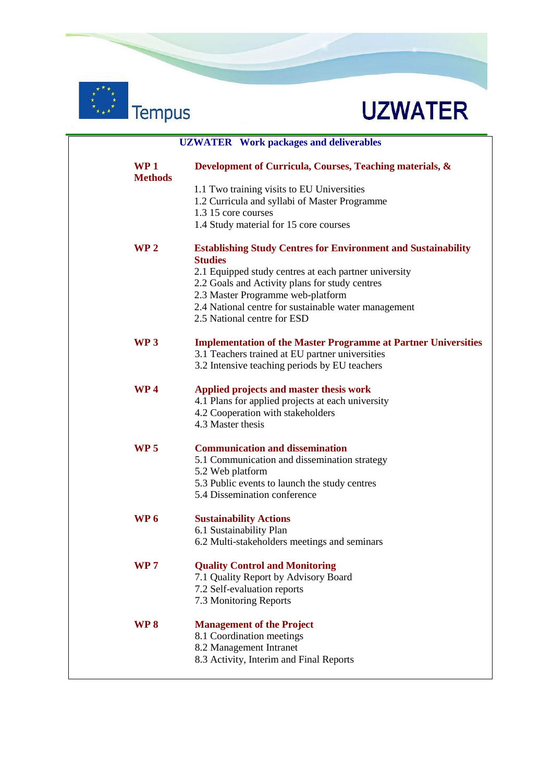



|                                   | <b>UZWATER</b> Work packages and deliverables                                                                            |  |
|-----------------------------------|--------------------------------------------------------------------------------------------------------------------------|--|
| WP <sub>1</sub><br><b>Methods</b> | Development of Curricula, Courses, Teaching materials, &                                                                 |  |
|                                   | 1.1 Two training visits to EU Universities                                                                               |  |
|                                   | 1.2 Curricula and syllabi of Master Programme                                                                            |  |
|                                   | 1.3 15 core courses                                                                                                      |  |
|                                   | 1.4 Study material for 15 core courses                                                                                   |  |
| WP <sub>2</sub>                   | <b>Establishing Study Centres for Environment and Sustainability</b><br><b>Studies</b>                                   |  |
|                                   | 2.1 Equipped study centres at each partner university                                                                    |  |
|                                   | 2.2 Goals and Activity plans for study centres                                                                           |  |
|                                   | 2.3 Master Programme web-platform                                                                                        |  |
|                                   | 2.4 National centre for sustainable water management<br>2.5 National centre for ESD                                      |  |
| WP <sub>3</sub>                   | <b>Implementation of the Master Programme at Partner Universities</b><br>3.1 Teachers trained at EU partner universities |  |
|                                   | 3.2 Intensive teaching periods by EU teachers                                                                            |  |
| WP <sub>4</sub>                   | Applied projects and master thesis work                                                                                  |  |
|                                   | 4.1 Plans for applied projects at each university<br>4.2 Cooperation with stakeholders                                   |  |
|                                   | 4.3 Master thesis                                                                                                        |  |
|                                   |                                                                                                                          |  |
| <b>WP 5</b>                       | <b>Communication and dissemination</b>                                                                                   |  |
|                                   | 5.1 Communication and dissemination strategy                                                                             |  |
|                                   | 5.2 Web platform<br>5.3 Public events to launch the study centres                                                        |  |
|                                   | 5.4 Dissemination conference                                                                                             |  |
| WP <sub>6</sub>                   | <b>Sustainability Actions</b>                                                                                            |  |
|                                   | 6.1 Sustainability Plan                                                                                                  |  |
|                                   | 6.2 Multi-stakeholders meetings and seminars                                                                             |  |
| <b>WP7</b>                        | <b>Quality Control and Monitoring</b>                                                                                    |  |
|                                   | 7.1 Quality Report by Advisory Board                                                                                     |  |
|                                   | 7.2 Self-evaluation reports                                                                                              |  |
|                                   | 7.3 Monitoring Reports                                                                                                   |  |
| WP <sub>8</sub>                   | <b>Management of the Project</b>                                                                                         |  |
|                                   | 8.1 Coordination meetings                                                                                                |  |
|                                   | 8.2 Management Intranet                                                                                                  |  |
|                                   | 8.3 Activity, Interim and Final Reports                                                                                  |  |